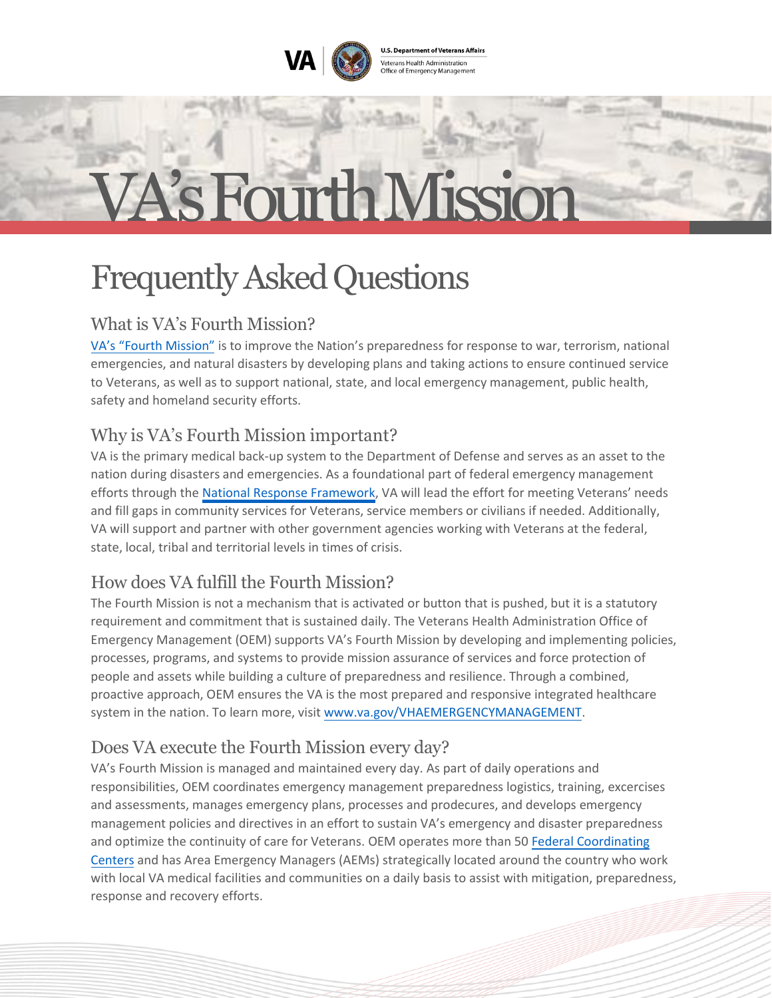**U.S. Department of Veterans Affairs** Veterans Health Administration<br>Office of Emergency Management

# VA's Fourth Mission

## Frequently Asked Questions

### What is VA's Fourth Mission?

[VA's "Fourth Mission"](https://www.va.gov/ABOUT_VA/index.asp) is to improve the Nation's preparedness for response to war, terrorism, national emergencies, and natural disasters by developing plans and taking actions to ensure continued service to Veterans, as well as to support national, state, and local emergency management, public health, safety and homeland security efforts.

#### Why is VA's Fourth Mission important?

VA is the primary medical back-up system to the Department of Defense and serves as an asset to the nation during disasters and emergencies. As a foundational part of federal emergency management efforts through the [National Response Framework,](https://www.fema.gov/emergency-managers/national-preparedness/frameworks/response) VA will lead the effort for meeting Veterans' needs and fill gaps in community services for Veterans, service members or civilians if needed. Additionally, VA will support and partner with other government agencies working with Veterans at the federal, state, local, tribal and territorial levels in times of crisis.

#### How does VA fulfill the Fourth Mission?

The Fourth Mission is not a mechanism that is activated or button that is pushed, but it is a statutory requirement and commitment that is sustained daily. The Veterans Health Administration Office of Emergency Management (OEM) supports VA's Fourth Mission by developing and implementing policies, processes, programs, and systems to provide mission assurance of services and force protection of people and assets while building a culture of preparedness and resilience. Through a combined, proactive approach, OEM ensures the VA is the most prepared and responsive integrated healthcare system in the nation. To learn more, visit [www.va.gov/VHAEMERGENCYMANAGEMENT.](https://www.va.gov/VHAEMERGENCYMANAGEMENT)

#### Does VA execute the Fourth Mission every day?

VA's Fourth Mission is managed and maintained every day. As part of daily operations and responsibilities, OEM coordinates emergency management preparedness logistics, training, excercises and assessments, manages emergency plans, processes and prodecures, and develops emergency management policies and directives in an effort to sustain VA's emergency and disaster preparedness and optimize the continuity of care for Veterans. OEM operates more than 5[0 Federal Coordinating](https://www.phe.gov/Preparedness/responders/ndms/definitive-care/Pages/participating.aspx) [Centers](https://www.phe.gov/Preparedness/responders/ndms/definitive-care/Pages/participating.aspx) and has Area Emergency Managers (AEMs) strategically located around the country who work with local VA medical facilities and communities on a daily basis to assist with mitigation, preparedness, response and recovery efforts.